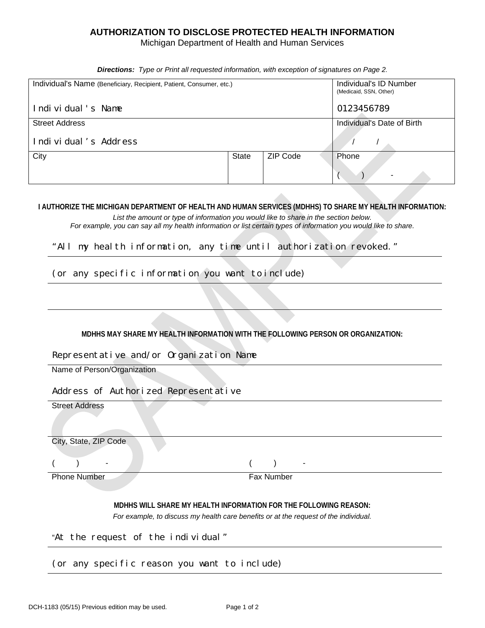## **AUTHORIZATION TO DISCLOSE PROTECTED HEALTH INFORMATION**

Michigan Department of Health and Human Services

*Directions: Type or Print all requested information, with exception of signatures on Page 2*.

| Individual's Name (Beneficiary, Recipient, Patient, Consumer, etc.) |       | Individual's ID Number<br>(Medicaid, SSN, Other) |                                   |
|---------------------------------------------------------------------|-------|--------------------------------------------------|-----------------------------------|
| Individual's Name                                                   |       |                                                  | 0123456789                        |
| <b>Street Address</b>                                               |       |                                                  | Individual's Date of Birth        |
| Individual's Address                                                |       |                                                  |                                   |
| City                                                                | State | <b>ZIP Code</b>                                  | Phone<br>$\overline{\phantom{0}}$ |

**I AUTHORIZE THE MICHIGAN DEPARTMENT OF HEALTH AND HUMAN SERVICES (MDHHS) TO SHARE MY HEALTH INFORMATION:**

*List the amount or type of information you would like to share in the section below. For example, you can say all my health information or list certain types of information you would like to share.*

"All my health information, any time until authorization revoked."

(or any specific information you want to include)

**MDHHS MAY SHARE MY HEALTH INFORMATION WITH THE FOLLOWING PERSON OR ORGANIZATION:**

Representative and/or Organization Name

Name of Person/Organization

Address of Authorized Representative

| $max$ $sum$ $sum$ $sum$ $sum$ $sum$ $sum$ $sum$ $sum$ |                                                                  |
|-------------------------------------------------------|------------------------------------------------------------------|
| <b>Street Address</b>                                 |                                                                  |
| City, State, ZIP Code                                 |                                                                  |
|                                                       |                                                                  |
|                                                       | ٠                                                                |
| <b>Phone Number</b>                                   | Fax Number                                                       |
|                                                       |                                                                  |
|                                                       | MDHHS WILL SHARE MY HEALTH INFORMATION FOR THE FOLLOWING REASON: |

*For example, to discuss my health care benefits or at the request of the individual.*

"At the request of the individual"

(or any specific reason you want to include)